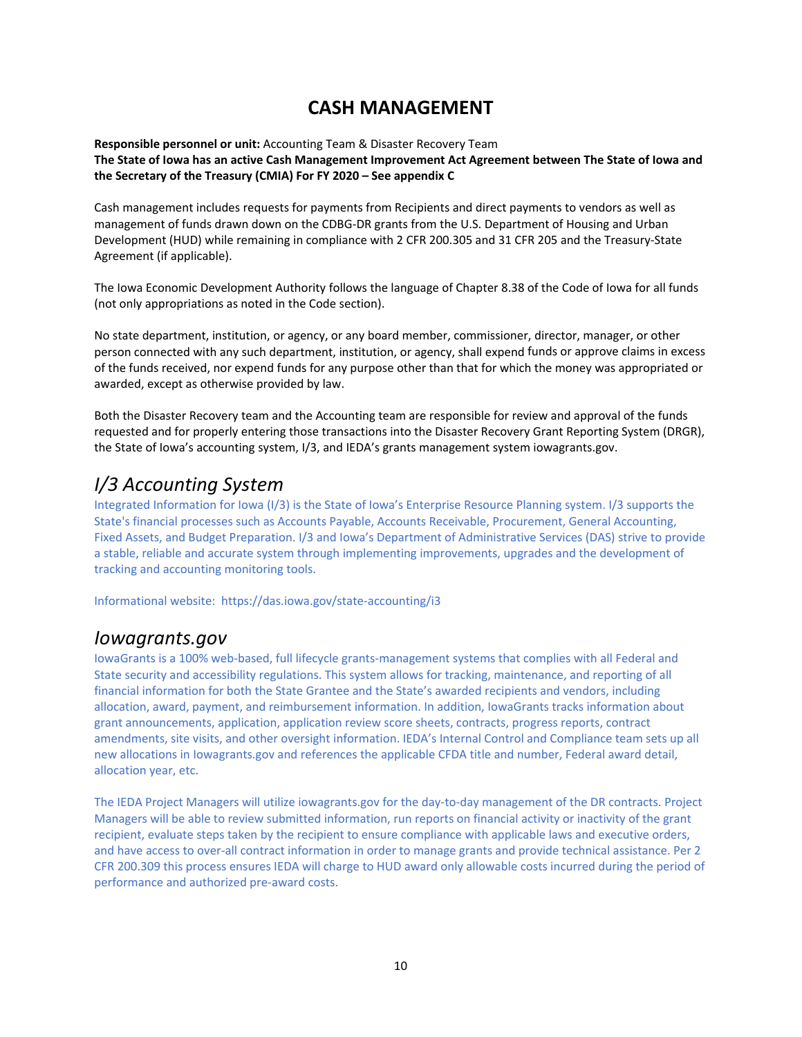### **CASH MANAGEMENT**

**Responsible personnel or unit:** Accounting Team & Disaster Recovery Team The State of Iowa has an active Cash Management Improvement Act Agreement between The State of Iowa and **the Secretary of the Treasury (CMIA) For FY 2020 – See appendix C**

Cash management includes requests for payments from Recipients and direct payments to vendors as well as management of funds drawn down on the CDBG‐DR grants from the U.S. Department of Housing and Urban Development (HUD) while remaining in compliance with 2 CFR 200.305 and 31 CFR 205 and the Treasury‐State Agreement (if applicable).

The Iowa Economic Development Authority follows the language of Chapter 8.38 of the Code of Iowa for all funds (not only appropriations as noted in the Code section).

No state department, institution, or agency, or any board member, commissioner, director, manager, or other person connected with any such department, institution, or agency, shall expend funds or approve claims in excess of the funds received, nor expend funds for any purpose other than that for which the money was appropriated or awarded, except as otherwise provided by law.

Both the Disaster Recovery team and the Accounting team are responsible for review and approval of the funds requested and for properly entering those transactions into the Disaster Recovery Grant Reporting System (DRGR), the State of Iowa's accounting system, I/3, and IEDA's grants management system iowagrants.gov.

# *I/3 Accounting System*

Integrated Information for Iowa (I/3) is the State of Iowa's Enterprise Resource Planning system. I/3 supports the State's financial processes such as Accounts Payable, Accounts Receivable, Procurement, General Accounting, Fixed Assets, and Budget Preparation. I/3 and Iowa's Department of Administrative Services (DAS) strive to provide a stable, reliable and accurate system through implementing improvements, upgrades and the development of tracking and accounting monitoring tools.

Informational website: https://das.iowa.gov/state‐accounting/i3

### *Iowagrants.gov*

IowaGrants is a 100% web‐based, full lifecycle grants‐management systems that complies with all Federal and State security and accessibility regulations. This system allows for tracking, maintenance, and reporting of all financial information for both the State Grantee and the State's awarded recipients and vendors, including allocation, award, payment, and reimbursement information. In addition, IowaGrants tracks information about grant announcements, application, application review score sheets, contracts, progress reports, contract amendments, site visits, and other oversight information. IEDA's Internal Control and Compliance team sets up all new allocations in Iowagrants.gov and references the applicable CFDA title and number, Federal award detail, allocation year, etc.

The IEDA Project Managers will utilize iowagrants.gov for the day‐to‐day management of the DR contracts. Project Managers will be able to review submitted information, run reports on financial activity or inactivity of the grant recipient, evaluate steps taken by the recipient to ensure compliance with applicable laws and executive orders, and have access to over‐all contract information in order to manage grants and provide technical assistance. Per 2 CFR 200.309 this process ensures IEDA will charge to HUD award only allowable costs incurred during the period of performance and authorized pre‐award costs.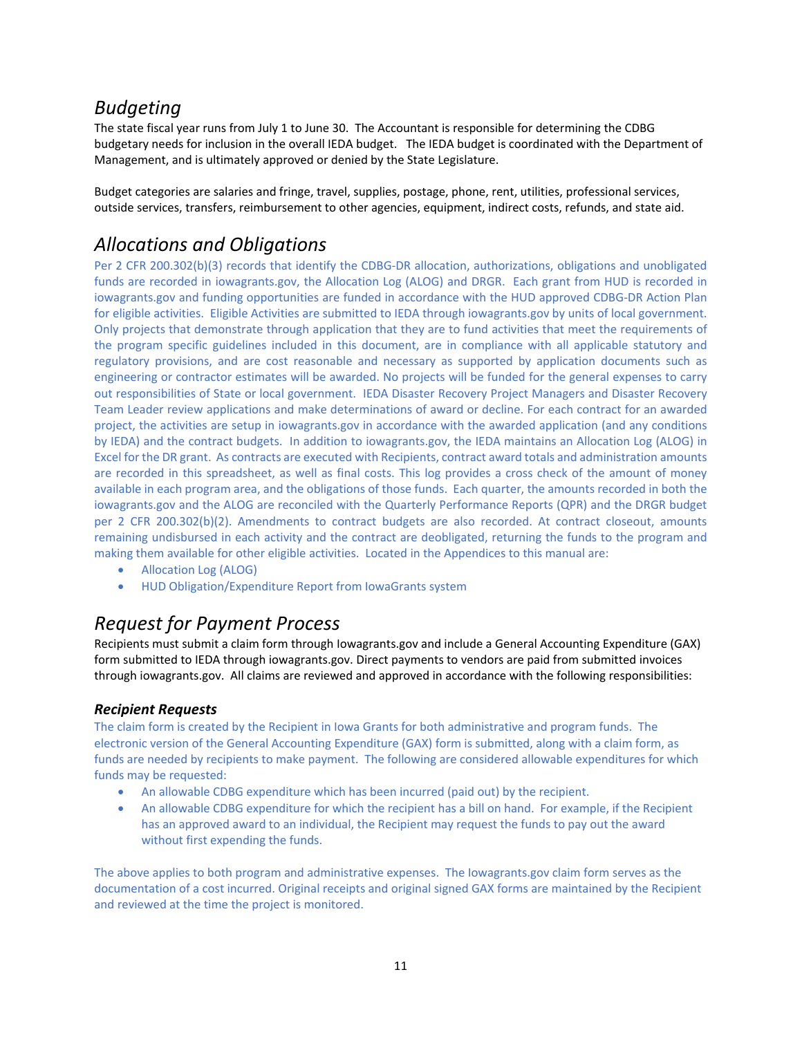# *Budgeting*

The state fiscal year runs from July 1 to June 30. The Accountant is responsible for determining the CDBG budgetary needs for inclusion in the overall IEDA budget. The IEDA budget is coordinated with the Department of Management, and is ultimately approved or denied by the State Legislature.

Budget categories are salaries and fringe, travel, supplies, postage, phone, rent, utilities, professional services, outside services, transfers, reimbursement to other agencies, equipment, indirect costs, refunds, and state aid.

# *Allocations and Obligations*

Per 2 CFR 200.302(b)(3) records that identify the CDBG‐DR allocation, authorizations, obligations and unobligated funds are recorded in iowagrants.gov, the Allocation Log (ALOG) and DRGR. Each grant from HUD is recorded in iowagrants.gov and funding opportunities are funded in accordance with the HUD approved CDBG‐DR Action Plan for eligible activities. Eligible Activities are submitted to IEDA through iowagrants.gov by units of local government. Only projects that demonstrate through application that they are to fund activities that meet the requirements of the program specific guidelines included in this document, are in compliance with all applicable statutory and regulatory provisions, and are cost reasonable and necessary as supported by application documents such as engineering or contractor estimates will be awarded. No projects will be funded for the general expenses to carry out responsibilities of State or local government. IEDA Disaster Recovery Project Managers and Disaster Recovery Team Leader review applications and make determinations of award or decline. For each contract for an awarded project, the activities are setup in iowagrants.gov in accordance with the awarded application (and any conditions by IEDA) and the contract budgets. In addition to iowagrants.gov, the IEDA maintains an Allocation Log (ALOG) in Excel for the DR grant. As contracts are executed with Recipients, contract award totals and administration amounts are recorded in this spreadsheet, as well as final costs. This log provides a cross check of the amount of money available in each program area, and the obligations of those funds. Each quarter, the amounts recorded in both the iowagrants.gov and the ALOG are reconciled with the Quarterly Performance Reports (QPR) and the DRGR budget per 2 CFR 200.302(b)(2). Amendments to contract budgets are also recorded. At contract closeout, amounts remaining undisbursed in each activity and the contract are deobligated, returning the funds to the program and making them available for other eligible activities. Located in the Appendices to this manual are:

- Allocation Log (ALOG)
- HUD Obligation/Expenditure Report from IowaGrants system

# *Request for Payment Process*

Recipients must submit a claim form through Iowagrants.gov and include a General Accounting Expenditure (GAX) form submitted to IEDA through iowagrants.gov. Direct payments to vendors are paid from submitted invoices through iowagrants.gov. All claims are reviewed and approved in accordance with the following responsibilities:

### *Recipient Requests*

The claim form is created by the Recipient in Iowa Grants for both administrative and program funds. The electronic version of the General Accounting Expenditure (GAX) form is submitted, along with a claim form, as funds are needed by recipients to make payment. The following are considered allowable expenditures for which funds may be requested:

- An allowable CDBG expenditure which has been incurred (paid out) by the recipient.
- An allowable CDBG expenditure for which the recipient has a bill on hand. For example, if the Recipient has an approved award to an individual, the Recipient may request the funds to pay out the award without first expending the funds.

The above applies to both program and administrative expenses. The Iowagrants.gov claim form serves as the documentation of a cost incurred. Original receipts and original signed GAX forms are maintained by the Recipient and reviewed at the time the project is monitored.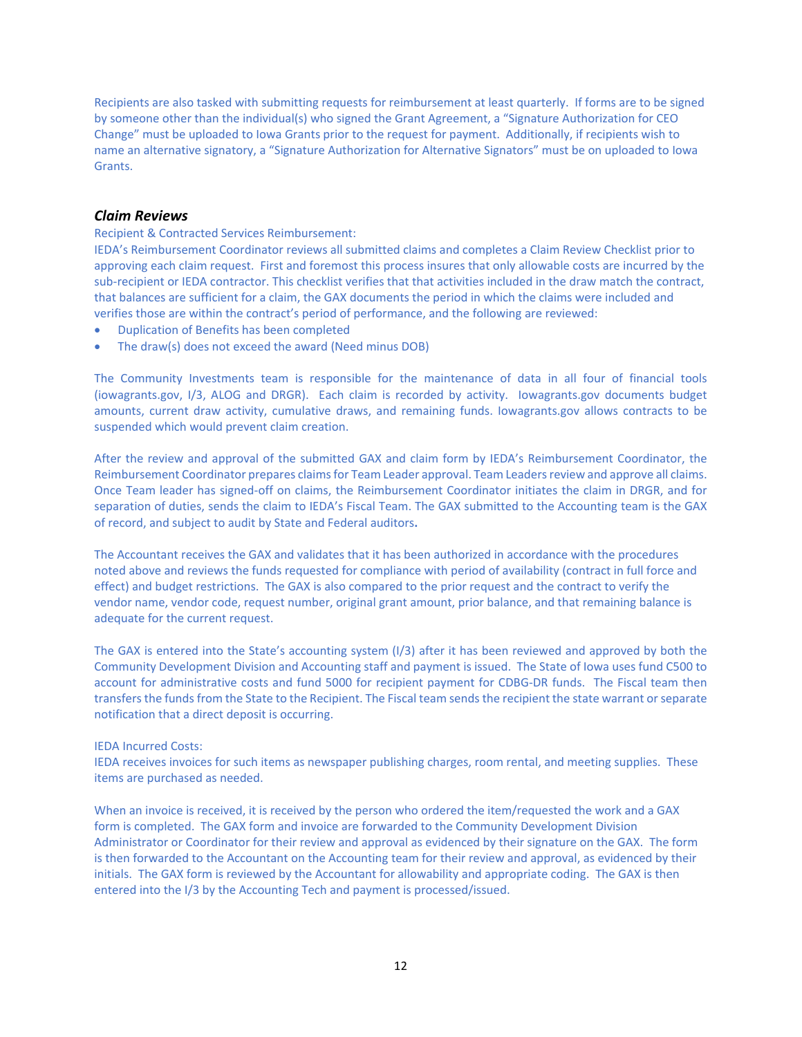Recipients are also tasked with submitting requests for reimbursement at least quarterly. If forms are to be signed by someone other than the individual(s) who signed the Grant Agreement, a "Signature Authorization for CEO Change" must be uploaded to Iowa Grants prior to the request for payment. Additionally, if recipients wish to name an alternative signatory, a "Signature Authorization for Alternative Signators" must be on uploaded to Iowa Grants.

#### *Claim Reviews*

Recipient & Contracted Services Reimbursement:

IEDA's Reimbursement Coordinator reviews all submitted claims and completes a Claim Review Checklist prior to approving each claim request. First and foremost this process insures that only allowable costs are incurred by the sub-recipient or IEDA contractor. This checklist verifies that that activities included in the draw match the contract, that balances are sufficient for a claim, the GAX documents the period in which the claims were included and verifies those are within the contract's period of performance, and the following are reviewed:

- Duplication of Benefits has been completed
- The draw(s) does not exceed the award (Need minus DOB)

The Community Investments team is responsible for the maintenance of data in all four of financial tools (iowagrants.gov, I/3, ALOG and DRGR). Each claim is recorded by activity. Iowagrants.gov documents budget amounts, current draw activity, cumulative draws, and remaining funds. Iowagrants.gov allows contracts to be suspended which would prevent claim creation.

After the review and approval of the submitted GAX and claim form by IEDA's Reimbursement Coordinator, the Reimbursement Coordinator prepares claims for Team Leader approval. Team Leaders review and approve all claims. Once Team leader has signed‐off on claims, the Reimbursement Coordinator initiates the claim in DRGR, and for separation of duties, sends the claim to IEDA's Fiscal Team. The GAX submitted to the Accounting team is the GAX of record, and subject to audit by State and Federal auditors**.**

The Accountant receives the GAX and validates that it has been authorized in accordance with the procedures noted above and reviews the funds requested for compliance with period of availability (contract in full force and effect) and budget restrictions. The GAX is also compared to the prior request and the contract to verify the vendor name, vendor code, request number, original grant amount, prior balance, and that remaining balance is adequate for the current request.

The GAX is entered into the State's accounting system (I/3) after it has been reviewed and approved by both the Community Development Division and Accounting staff and payment is issued. The State of Iowa uses fund C500 to account for administrative costs and fund 5000 for recipient payment for CDBG‐DR funds. The Fiscal team then transfers the funds from the State to the Recipient. The Fiscal team sends the recipient the state warrant or separate notification that a direct deposit is occurring.

#### IEDA Incurred Costs:

IEDA receives invoices for such items as newspaper publishing charges, room rental, and meeting supplies. These items are purchased as needed.

When an invoice is received, it is received by the person who ordered the item/requested the work and a GAX form is completed. The GAX form and invoice are forwarded to the Community Development Division Administrator or Coordinator for their review and approval as evidenced by their signature on the GAX. The form is then forwarded to the Accountant on the Accounting team for their review and approval, as evidenced by their initials. The GAX form is reviewed by the Accountant for allowability and appropriate coding. The GAX is then entered into the I/3 by the Accounting Tech and payment is processed/issued.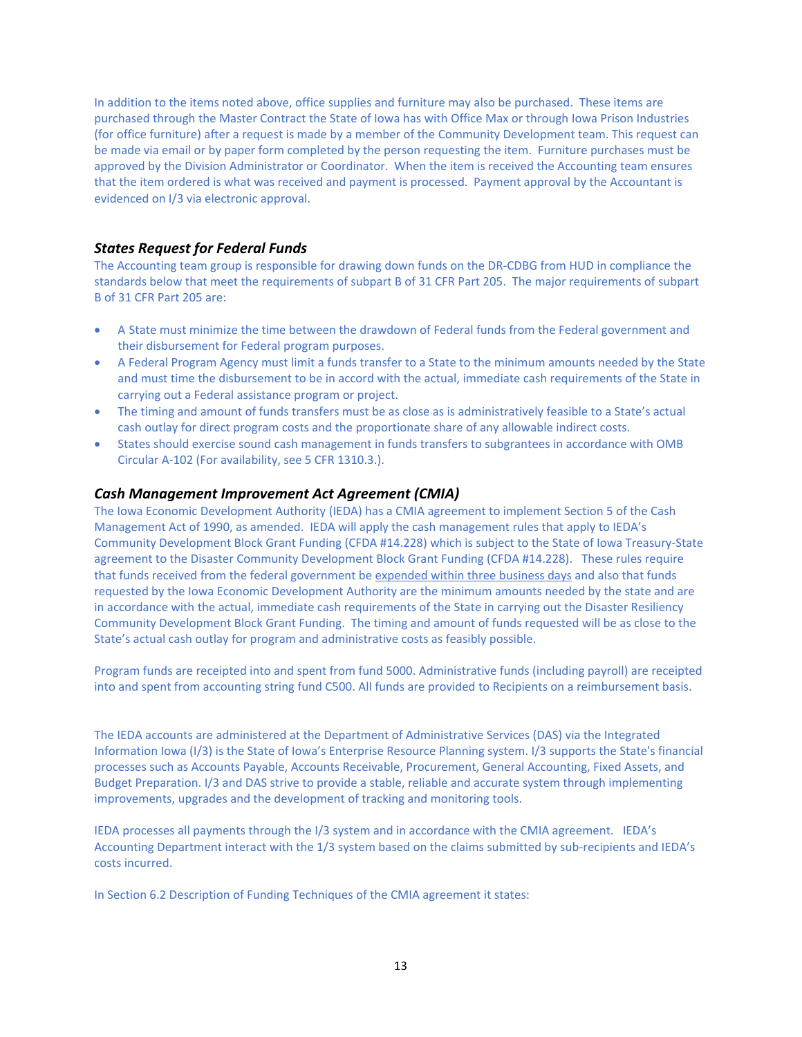In addition to the items noted above, office supplies and furniture may also be purchased. These items are purchased through the Master Contract the State of Iowa has with Office Max or through Iowa Prison Industries (for office furniture) after a request is made by a member of the Community Development team. This request can be made via email or by paper form completed by the person requesting the item. Furniture purchases must be approved by the Division Administrator or Coordinator. When the item is received the Accounting team ensures that the item ordered is what was received and payment is processed. Payment approval by the Accountant is evidenced on I/3 via electronic approval.

### *States Request for Federal Funds*

The Accounting team group is responsible for drawing down funds on the DR‐CDBG from HUD in compliance the standards below that meet the requirements of subpart B of 31 CFR Part 205. The major requirements of subpart B of 31 CFR Part 205 are:

- A State must minimize the time between the drawdown of Federal funds from the Federal government and their disbursement for Federal program purposes.
- A Federal Program Agency must limit a funds transfer to a State to the minimum amounts needed by the State and must time the disbursement to be in accord with the actual, immediate cash requirements of the State in carrying out a Federal assistance program or project.
- The timing and amount of funds transfers must be as close as is administratively feasible to a State's actual cash outlay for direct program costs and the proportionate share of any allowable indirect costs.
- States should exercise sound cash management in funds transfers to subgrantees in accordance with OMB Circular A‐102 (For availability, see 5 CFR 1310.3.).

### *Cash Management Improvement Act Agreement (CMIA)*

The Iowa Economic Development Authority (IEDA) has a CMIA agreement to implement Section 5 of the Cash Management Act of 1990, as amended. IEDA will apply the cash management rules that apply to IEDA's Community Development Block Grant Funding (CFDA #14.228) which is subject to the State of Iowa Treasury‐State agreement to the Disaster Community Development Block Grant Funding (CFDA #14.228). These rules require that funds received from the federal government be expended within three business days and also that funds requested by the Iowa Economic Development Authority are the minimum amounts needed by the state and are in accordance with the actual, immediate cash requirements of the State in carrying out the Disaster Resiliency Community Development Block Grant Funding. The timing and amount of funds requested will be as close to the State's actual cash outlay for program and administrative costs as feasibly possible.

Program funds are receipted into and spent from fund 5000. Administrative funds (including payroll) are receipted into and spent from accounting string fund C500. All funds are provided to Recipients on a reimbursement basis.

The IEDA accounts are administered at the Department of Administrative Services (DAS) via the Integrated Information Iowa (I/3) is the State of Iowa's Enterprise Resource Planning system. I/3 supports the State's financial processes such as Accounts Payable, Accounts Receivable, Procurement, General Accounting, Fixed Assets, and Budget Preparation. I/3 and DAS strive to provide a stable, reliable and accurate system through implementing improvements, upgrades and the development of tracking and monitoring tools.

IEDA processes all payments through the I/3 system and in accordance with the CMIA agreement. IEDA's Accounting Department interact with the 1/3 system based on the claims submitted by sub-recipients and IEDA's costs incurred.

In Section 6.2 Description of Funding Techniques of the CMIA agreement it states: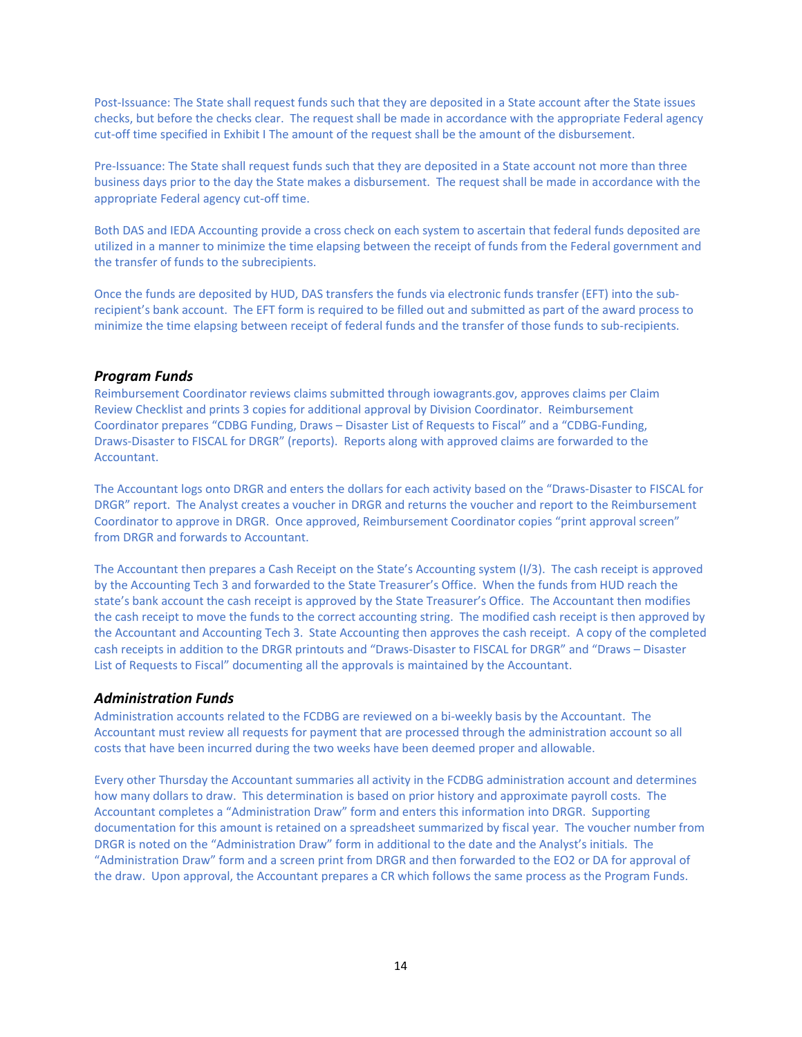Post-Issuance: The State shall request funds such that they are deposited in a State account after the State issues checks, but before the checks clear. The request shall be made in accordance with the appropriate Federal agency cut-off time specified in Exhibit I The amount of the request shall be the amount of the disbursement.

Pre-Issuance: The State shall request funds such that they are deposited in a State account not more than three business days prior to the day the State makes a disbursement. The request shall be made in accordance with the appropriate Federal agency cut‐off time.

Both DAS and IEDA Accounting provide a cross check on each system to ascertain that federal funds deposited are utilized in a manner to minimize the time elapsing between the receipt of funds from the Federal government and the transfer of funds to the subrecipients.

Once the funds are deposited by HUD, DAS transfers the funds via electronic funds transfer (EFT) into the sub‐ recipient's bank account. The EFT form is required to be filled out and submitted as part of the award process to minimize the time elapsing between receipt of federal funds and the transfer of those funds to sub‐recipients.

#### *Program Funds*

Reimbursement Coordinator reviews claims submitted through iowagrants.gov, approves claims per Claim Review Checklist and prints 3 copies for additional approval by Division Coordinator. Reimbursement Coordinator prepares "CDBG Funding, Draws – Disaster List of Requests to Fiscal" and a "CDBG‐Funding, Draws‐Disaster to FISCAL for DRGR" (reports). Reports along with approved claims are forwarded to the Accountant.

The Accountant logs onto DRGR and enters the dollars for each activity based on the "Draws‐Disaster to FISCAL for DRGR" report. The Analyst creates a voucher in DRGR and returns the voucher and report to the Reimbursement Coordinator to approve in DRGR. Once approved, Reimbursement Coordinator copies "print approval screen" from DRGR and forwards to Accountant.

The Accountant then prepares a Cash Receipt on the State's Accounting system (I/3). The cash receipt is approved by the Accounting Tech 3 and forwarded to the State Treasurer's Office. When the funds from HUD reach the state's bank account the cash receipt is approved by the State Treasurer's Office. The Accountant then modifies the cash receipt to move the funds to the correct accounting string. The modified cash receipt is then approved by the Accountant and Accounting Tech 3. State Accounting then approves the cash receipt. A copy of the completed cash receipts in addition to the DRGR printouts and "Draws‐Disaster to FISCAL for DRGR" and "Draws – Disaster List of Requests to Fiscal" documenting all the approvals is maintained by the Accountant.

#### *Administration Funds*

Administration accounts related to the FCDBG are reviewed on a bi‐weekly basis by the Accountant. The Accountant must review all requests for payment that are processed through the administration account so all costs that have been incurred during the two weeks have been deemed proper and allowable.

Every other Thursday the Accountant summaries all activity in the FCDBG administration account and determines how many dollars to draw. This determination is based on prior history and approximate payroll costs. The Accountant completes a "Administration Draw" form and enters this information into DRGR. Supporting documentation for this amount is retained on a spreadsheet summarized by fiscal year. The voucher number from DRGR is noted on the "Administration Draw" form in additional to the date and the Analyst's initials. The "Administration Draw" form and a screen print from DRGR and then forwarded to the EO2 or DA for approval of the draw. Upon approval, the Accountant prepares a CR which follows the same process as the Program Funds.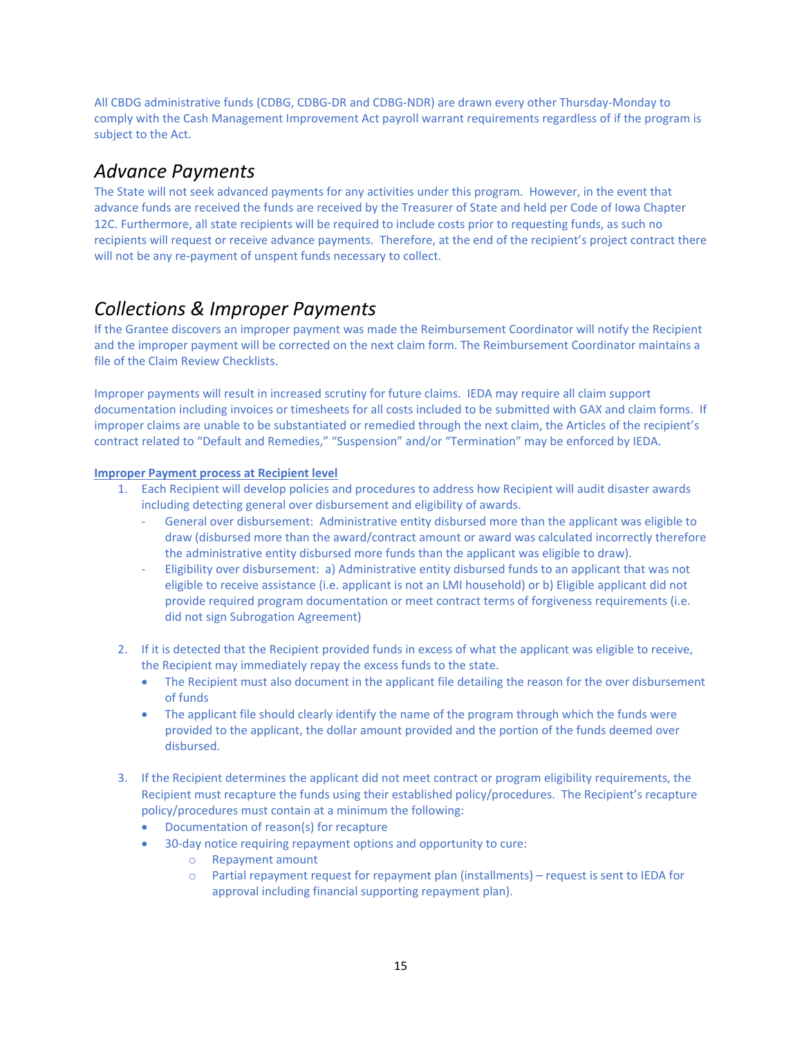All CBDG administrative funds (CDBG, CDBG‐DR and CDBG‐NDR) are drawn every other Thursday‐Monday to comply with the Cash Management Improvement Act payroll warrant requirements regardless of if the program is subject to the Act.

### *Advance Payments*

The State will not seek advanced payments for any activities under this program. However, in the event that advance funds are received the funds are received by the Treasurer of State and held per Code of Iowa Chapter 12C. Furthermore, all state recipients will be required to include costs prior to requesting funds, as such no recipients will request or receive advance payments. Therefore, at the end of the recipient's project contract there will not be any re-payment of unspent funds necessary to collect.

# *Collections & Improper Payments*

If the Grantee discovers an improper payment was made the Reimbursement Coordinator will notify the Recipient and the improper payment will be corrected on the next claim form. The Reimbursement Coordinator maintains a file of the Claim Review Checklists.

Improper payments will result in increased scrutiny for future claims. IEDA may require all claim support documentation including invoices or timesheets for all costs included to be submitted with GAX and claim forms. If improper claims are unable to be substantiated or remedied through the next claim, the Articles of the recipient's contract related to "Default and Remedies," "Suspension" and/or "Termination" may be enforced by IEDA.

### **Improper Payment process at Recipient level**

- 1. Each Recipient will develop policies and procedures to address how Recipient will audit disaster awards including detecting general over disbursement and eligibility of awards.
	- ‐ General over disbursement: Administrative entity disbursed more than the applicant was eligible to draw (disbursed more than the award/contract amount or award was calculated incorrectly therefore the administrative entity disbursed more funds than the applicant was eligible to draw).
	- ‐ Eligibility over disbursement: a) Administrative entity disbursed funds to an applicant that was not eligible to receive assistance (i.e. applicant is not an LMI household) or b) Eligible applicant did not provide required program documentation or meet contract terms of forgiveness requirements (i.e. did not sign Subrogation Agreement)
- 2. If it is detected that the Recipient provided funds in excess of what the applicant was eligible to receive, the Recipient may immediately repay the excess funds to the state.
	- The Recipient must also document in the applicant file detailing the reason for the over disbursement of funds
	- The applicant file should clearly identify the name of the program through which the funds were provided to the applicant, the dollar amount provided and the portion of the funds deemed over disbursed.
- 3. If the Recipient determines the applicant did not meet contract or program eligibility requirements, the Recipient must recapture the funds using their established policy/procedures. The Recipient's recapture policy/procedures must contain at a minimum the following:
	- Documentation of reason(s) for recapture
	- 30-day notice requiring repayment options and opportunity to cure:
		- o Repayment amount
		- o Partial repayment request for repayment plan (installments) request is sent to IEDA for approval including financial supporting repayment plan).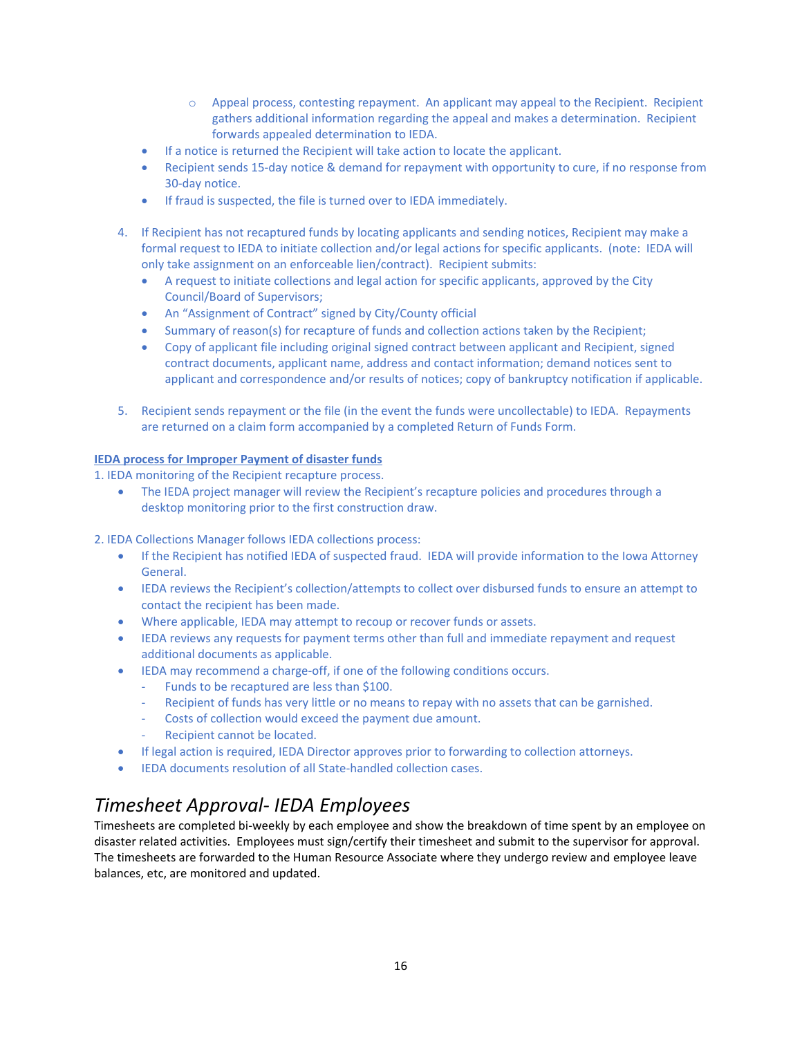- o Appeal process, contesting repayment. An applicant may appeal to the Recipient. Recipient gathers additional information regarding the appeal and makes a determination. Recipient forwards appealed determination to IEDA.
- If a notice is returned the Recipient will take action to locate the applicant.
- Recipient sends 15-day notice & demand for repayment with opportunity to cure, if no response from 30‐day notice.
- If fraud is suspected, the file is turned over to IEDA immediately.
- 4. If Recipient has not recaptured funds by locating applicants and sending notices, Recipient may make a formal request to IEDA to initiate collection and/or legal actions for specific applicants. (note: IEDA will only take assignment on an enforceable lien/contract). Recipient submits:
	- A request to initiate collections and legal action for specific applicants, approved by the City Council/Board of Supervisors;
	- An "Assignment of Contract" signed by City/County official
	- Summary of reason(s) for recapture of funds and collection actions taken by the Recipient;
	- Copy of applicant file including original signed contract between applicant and Recipient, signed contract documents, applicant name, address and contact information; demand notices sent to applicant and correspondence and/or results of notices; copy of bankruptcy notification if applicable.
- 5. Recipient sends repayment or the file (in the event the funds were uncollectable) to IEDA. Repayments are returned on a claim form accompanied by a completed Return of Funds Form.

#### **IEDA process for Improper Payment of disaster funds**

1. IEDA monitoring of the Recipient recapture process.

• The IEDA project manager will review the Recipient's recapture policies and procedures through a desktop monitoring prior to the first construction draw.

2. IEDA Collections Manager follows IEDA collections process:

- If the Recipient has notified IEDA of suspected fraud. IEDA will provide information to the Iowa Attorney General.
- IEDA reviews the Recipient's collection/attempts to collect over disbursed funds to ensure an attempt to contact the recipient has been made.
- Where applicable, IEDA may attempt to recoup or recover funds or assets.
- IEDA reviews any requests for payment terms other than full and immediate repayment and request additional documents as applicable.
- IEDA may recommend a charge-off, if one of the following conditions occurs.
	- ‐ Funds to be recaptured are less than \$100.
	- Recipient of funds has very little or no means to repay with no assets that can be garnished.
	- Costs of collection would exceed the payment due amount.
	- Recipient cannot be located.
- If legal action is required, IEDA Director approves prior to forwarding to collection attorneys.
- **IEDA documents resolution of all State-handled collection cases.**

# *Timesheet Approval‐ IEDA Employees*

Timesheets are completed bi-weekly by each employee and show the breakdown of time spent by an employee on disaster related activities. Employees must sign/certify their timesheet and submit to the supervisor for approval. The timesheets are forwarded to the Human Resource Associate where they undergo review and employee leave balances, etc, are monitored and updated.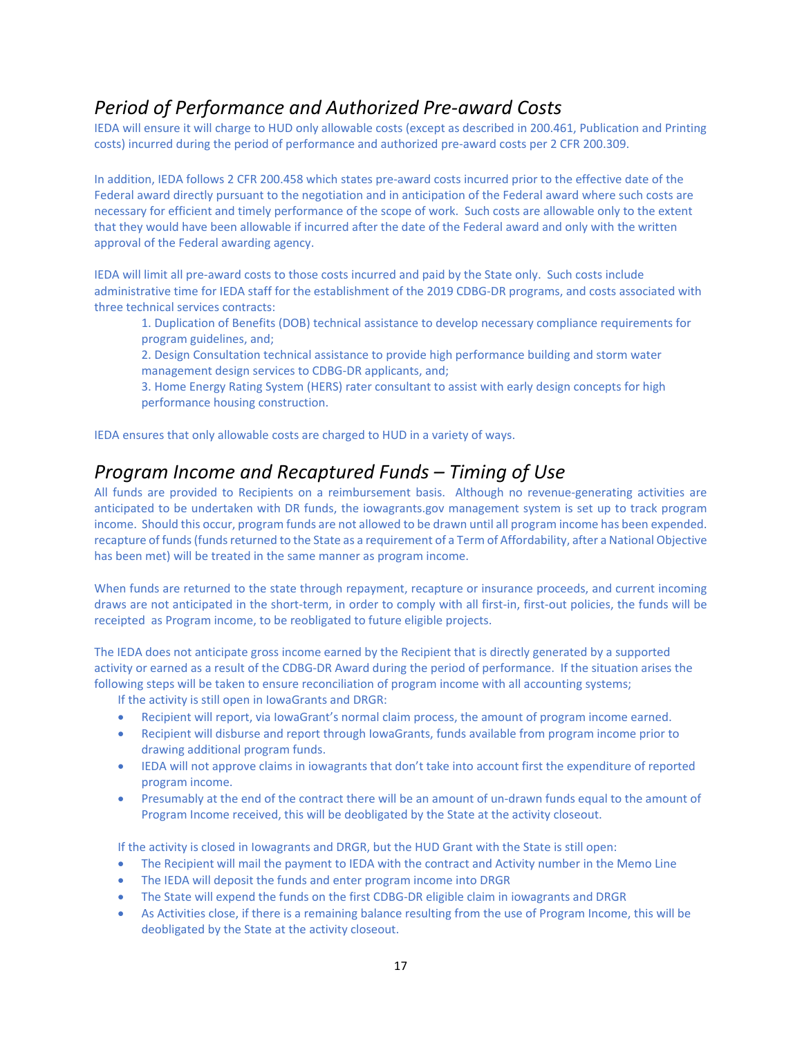# *Period of Performance and Authorized Pre‐award Costs*

IEDA will ensure it will charge to HUD only allowable costs (except as described in 200.461, Publication and Printing costs) incurred during the period of performance and authorized pre‐award costs per 2 CFR 200.309.

In addition, IEDA follows 2 CFR 200.458 which states pre-award costs incurred prior to the effective date of the Federal award directly pursuant to the negotiation and in anticipation of the Federal award where such costs are necessary for efficient and timely performance of the scope of work. Such costs are allowable only to the extent that they would have been allowable if incurred after the date of the Federal award and only with the written approval of the Federal awarding agency.

IEDA will limit all pre‐award costs to those costs incurred and paid by the State only. Such costs include administrative time for IEDA staff for the establishment of the 2019 CDBG‐DR programs, and costs associated with three technical services contracts:

1. Duplication of Benefits (DOB) technical assistance to develop necessary compliance requirements for program guidelines, and;

2. Design Consultation technical assistance to provide high performance building and storm water management design services to CDBG‐DR applicants, and;

3. Home Energy Rating System (HERS) rater consultant to assist with early design concepts for high performance housing construction.

IEDA ensures that only allowable costs are charged to HUD in a variety of ways.

### *Program Income and Recaptured Funds – Timing of Use*

All funds are provided to Recipients on a reimbursement basis. Although no revenue‐generating activities are anticipated to be undertaken with DR funds, the iowagrants.gov management system is set up to track program income. Should this occur, program funds are not allowed to be drawn until all program income has been expended. recapture of funds (funds returned to the State as a requirement of a Term of Affordability, after a National Objective has been met) will be treated in the same manner as program income.

When funds are returned to the state through repayment, recapture or insurance proceeds, and current incoming draws are not anticipated in the short-term, in order to comply with all first-in, first-out policies, the funds will be receipted as Program income, to be reobligated to future eligible projects.

The IEDA does not anticipate gross income earned by the Recipient that is directly generated by a supported activity or earned as a result of the CDBG‐DR Award during the period of performance. If the situation arises the following steps will be taken to ensure reconciliation of program income with all accounting systems;

If the activity is still open in IowaGrants and DRGR:

- Recipient will report, via IowaGrant's normal claim process, the amount of program income earned.
- Recipient will disburse and report through IowaGrants, funds available from program income prior to drawing additional program funds.
- IEDA will not approve claims in iowagrants that don't take into account first the expenditure of reported program income.
- Presumably at the end of the contract there will be an amount of un-drawn funds equal to the amount of Program Income received, this will be deobligated by the State at the activity closeout.

If the activity is closed in Iowagrants and DRGR, but the HUD Grant with the State is still open:

- The Recipient will mail the payment to IEDA with the contract and Activity number in the Memo Line
- The IEDA will deposit the funds and enter program income into DRGR
- The State will expend the funds on the first CDBG‐DR eligible claim in iowagrants and DRGR
- As Activities close, if there is a remaining balance resulting from the use of Program Income, this will be deobligated by the State at the activity closeout.